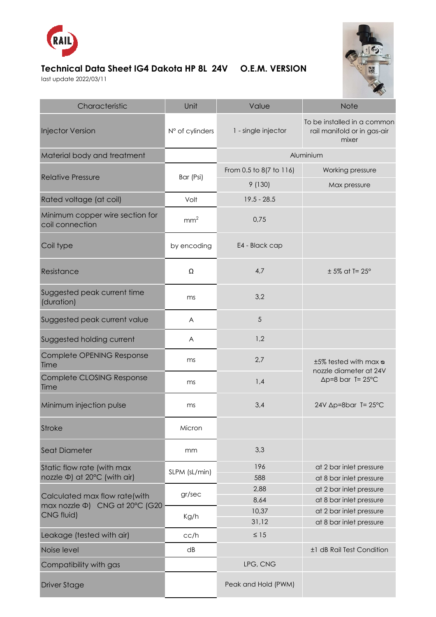

## **Technical Data Sheet IG4 Dakota HP 8L 24V O.E.M. VERSION**

last update 2022/03/11



| Characteristic                                                  | Unit            | Value                   | Note                                                                          |
|-----------------------------------------------------------------|-----------------|-------------------------|-------------------------------------------------------------------------------|
| <b>Injector Version</b>                                         | N° of cylinders | 1 - single injector     | To be installed in a common<br>rail manifold or in gas-air<br>mixer           |
| Material body and treatment                                     |                 | Aluminium               |                                                                               |
| <b>Relative Pressure</b>                                        | Bar (Psi)       | From 0.5 to 8(7 to 116) | Working pressure                                                              |
|                                                                 |                 | 9(130)                  | Max pressure                                                                  |
| Rated voltage (at coil)                                         | Volt            | $19.5 - 28.5$           |                                                                               |
| Minimum copper wire section for<br>coil connection              | mm <sup>2</sup> | 0,75                    |                                                                               |
| Coil type                                                       | by encoding     | E4 - Black cap          |                                                                               |
| Resistance                                                      | Ω               | 4,7                     | $± 5\%$ at T= 25°                                                             |
| Suggested peak current time<br>(duration)                       | ms              | 3,2                     |                                                                               |
| Suggested peak current value                                    | A               | 5                       |                                                                               |
| Suggested holding current                                       | A               | 1,2                     |                                                                               |
| Complete OPENING Response<br>Time                               | ms              | 2,7                     | t5% tested with max a<br>nozzle diameter at 24V<br>$\Delta p = 8$ bar T= 25°C |
| Complete CLOSING Response<br>Time                               | ms              | 1,4                     |                                                                               |
| Minimum injection pulse                                         | ms              | 3,4                     | $24V \Delta p = 8bar$ T= $25^{\circ}C$                                        |
| <b>Stroke</b>                                                   | Micron          |                         |                                                                               |
| Seat Diameter                                                   | mm              | 3,3                     |                                                                               |
| Static flow rate (with max<br>nozzle Φ) at 20°C (with air)      | SLPM (sL/min)   | 196                     | at 2 bar inlet pressure                                                       |
|                                                                 |                 | 588                     | at 8 bar inlet pressure                                                       |
| Calculated max flow rate(with<br>max nozzle Φ) CNG at 20°C (G20 | gr/sec<br>Kg/h  | 2,88                    | at 2 bar inlet pressure                                                       |
|                                                                 |                 | 8,64                    | at 8 bar inlet pressure                                                       |
| CNG fluid)                                                      |                 | 10,37                   | at 2 bar inlet pressure                                                       |
| Leakage (tested with air)                                       | cc/h            | 31,12<br>$\leq 15$      | at 8 bar inlet pressure                                                       |
| Noise level                                                     | dB              |                         | ±1 dB Rail Test Condition                                                     |
| Compatibility with gas                                          |                 | LPG, CNG                |                                                                               |
|                                                                 |                 |                         |                                                                               |
| <b>Driver Stage</b>                                             |                 | Peak and Hold (PWM)     |                                                                               |